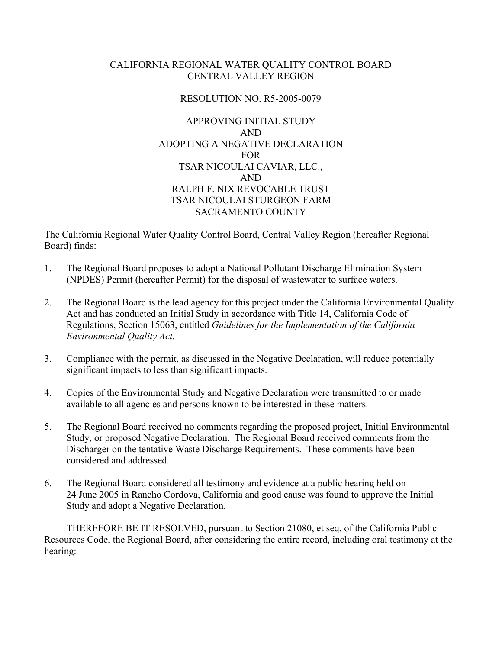#### CALIFORNIA REGIONAL WATER QUALITY CONTROL BOARD CENTRAL VALLEY REGION

## RESOLUTION NO. R5-2005-0079

## APPROVING INITIAL STUDY AND ADOPTING A NEGATIVE DECLARATION **FOR** TSAR NICOULAI CAVIAR, LLC., AND RALPH F. NIX REVOCABLE TRUST TSAR NICOULAI STURGEON FARM SACRAMENTO COUNTY

The California Regional Water Quality Control Board, Central Valley Region (hereafter Regional Board) finds:

- 1. The Regional Board proposes to adopt a National Pollutant Discharge Elimination System (NPDES) Permit (hereafter Permit) for the disposal of wastewater to surface waters.
- 2. The Regional Board is the lead agency for this project under the California Environmental Quality Act and has conducted an Initial Study in accordance with Title 14, California Code of Regulations, Section 15063, entitled *Guidelines for the Implementation of the California Environmental Quality Act.*
- 3. Compliance with the permit, as discussed in the Negative Declaration, will reduce potentially significant impacts to less than significant impacts.
- 4. Copies of the Environmental Study and Negative Declaration were transmitted to or made available to all agencies and persons known to be interested in these matters.
- 5. The Regional Board received no comments regarding the proposed project, Initial Environmental Study, or proposed Negative Declaration. The Regional Board received comments from the Discharger on the tentative Waste Discharge Requirements. These comments have been considered and addressed.
- 6. The Regional Board considered all testimony and evidence at a public hearing held on 24 June 2005 in Rancho Cordova, California and good cause was found to approve the Initial Study and adopt a Negative Declaration.

THEREFORE BE IT RESOLVED, pursuant to Section 21080, et seq. of the California Public Resources Code, the Regional Board, after considering the entire record, including oral testimony at the hearing: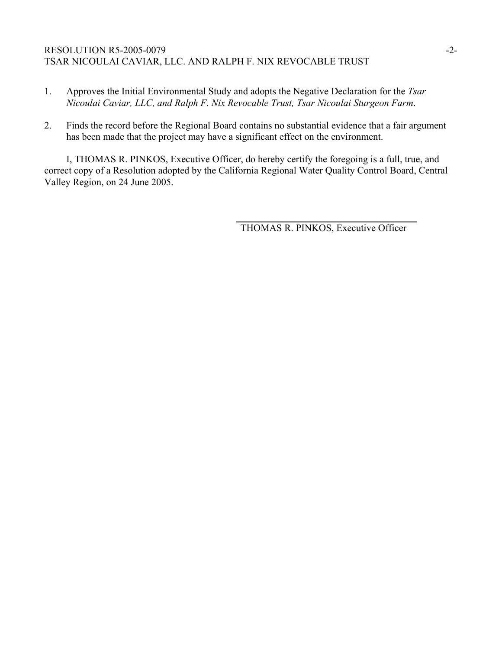## RESOLUTION R5-2005-0079 -2-TSAR NICOULAI CAVIAR, LLC. AND RALPH F. NIX REVOCABLE TRUST

- 1. Approves the Initial Environmental Study and adopts the Negative Declaration for the *Tsar Nicoulai Caviar, LLC, and Ralph F. Nix Revocable Trust, Tsar Nicoulai Sturgeon Farm*.
- 2. Finds the record before the Regional Board contains no substantial evidence that a fair argument has been made that the project may have a significant effect on the environment.

I, THOMAS R. PINKOS, Executive Officer, do hereby certify the foregoing is a full, true, and correct copy of a Resolution adopted by the California Regional Water Quality Control Board, Central Valley Region, on 24 June 2005.

THOMAS R. PINKOS, Executive Officer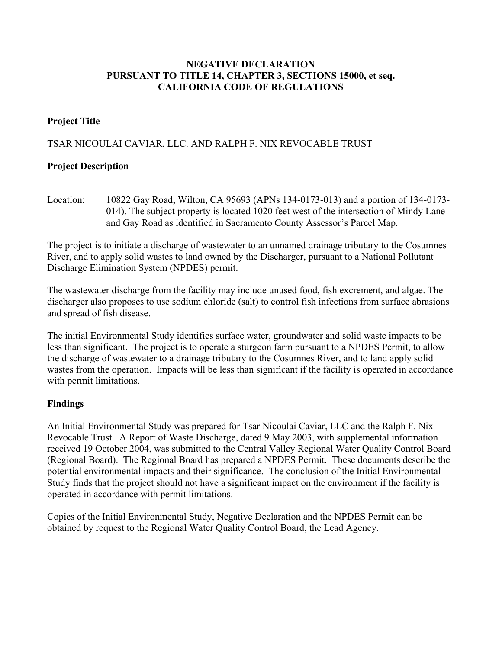#### **NEGATIVE DECLARATION PURSUANT TO TITLE 14, CHAPTER 3, SECTIONS 15000, et seq. CALIFORNIA CODE OF REGULATIONS**

# **Project Title**

# TSAR NICOULAI CAVIAR, LLC. AND RALPH F. NIX REVOCABLE TRUST

# **Project Description**

Location: 10822 Gay Road, Wilton, CA 95693 (APNs 134-0173-013) and a portion of 134-0173- 014). The subject property is located 1020 feet west of the intersection of Mindy Lane and Gay Road as identified in Sacramento County Assessor's Parcel Map.

The project is to initiate a discharge of wastewater to an unnamed drainage tributary to the Cosumnes River, and to apply solid wastes to land owned by the Discharger, pursuant to a National Pollutant Discharge Elimination System (NPDES) permit.

The wastewater discharge from the facility may include unused food, fish excrement, and algae. The discharger also proposes to use sodium chloride (salt) to control fish infections from surface abrasions and spread of fish disease.

The initial Environmental Study identifies surface water, groundwater and solid waste impacts to be less than significant. The project is to operate a sturgeon farm pursuant to a NPDES Permit, to allow the discharge of wastewater to a drainage tributary to the Cosumnes River, and to land apply solid wastes from the operation. Impacts will be less than significant if the facility is operated in accordance with permit limitations.

## **Findings**

An Initial Environmental Study was prepared for Tsar Nicoulai Caviar, LLC and the Ralph F. Nix Revocable Trust. A Report of Waste Discharge, dated 9 May 2003, with supplemental information received 19 October 2004, was submitted to the Central Valley Regional Water Quality Control Board (Regional Board). The Regional Board has prepared a NPDES Permit. These documents describe the potential environmental impacts and their significance. The conclusion of the Initial Environmental Study finds that the project should not have a significant impact on the environment if the facility is operated in accordance with permit limitations.

Copies of the Initial Environmental Study, Negative Declaration and the NPDES Permit can be obtained by request to the Regional Water Quality Control Board, the Lead Agency.